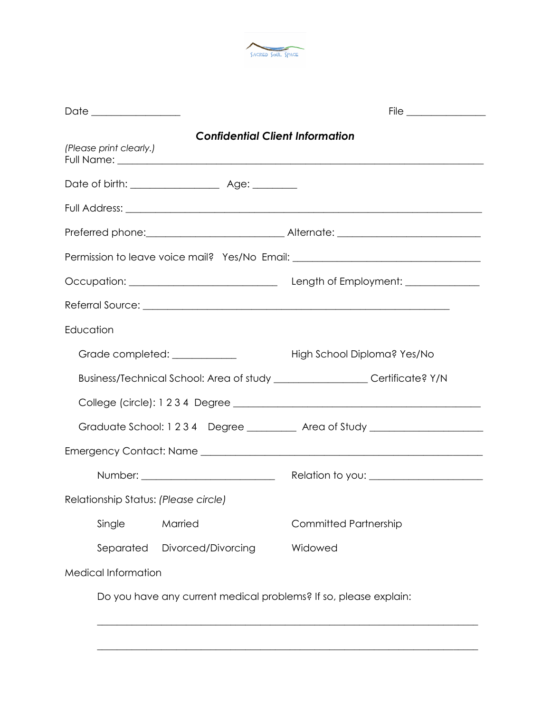

| Date ________________                |                                                                                  |
|--------------------------------------|----------------------------------------------------------------------------------|
| (Please print clearly.)              | <b>Confidential Client Information</b>                                           |
|                                      |                                                                                  |
|                                      |                                                                                  |
|                                      |                                                                                  |
|                                      | Permission to leave voice mail? Yes/No Email: __________________________________ |
|                                      |                                                                                  |
|                                      |                                                                                  |
| Education                            |                                                                                  |
| Grade completed: ___________         | High School Diploma? Yes/No                                                      |
|                                      | Business/Technical School: Area of study ____________________Certificate? Y/N    |
|                                      |                                                                                  |
|                                      | Graduate School: 1234 Degree __________ Area of Study __________________________ |
|                                      |                                                                                  |
|                                      |                                                                                  |
| Relationship Status: (Please circle) |                                                                                  |
| Single<br>Married                    | <b>Committed Partnership</b>                                                     |
| Separated<br>Divorced/Divorcing      | Widowed                                                                          |
| <b>Medical Information</b>           |                                                                                  |
|                                      | Do you have any current medical problems? If so, please explain:                 |

\_\_\_\_\_\_\_\_\_\_\_\_\_\_\_\_\_\_\_\_\_\_\_\_\_\_\_\_\_\_\_\_\_\_\_\_\_\_\_\_\_\_\_\_\_\_\_\_\_\_\_\_\_\_\_\_\_\_\_\_\_\_\_\_\_\_\_\_\_\_\_\_\_\_\_\_\_